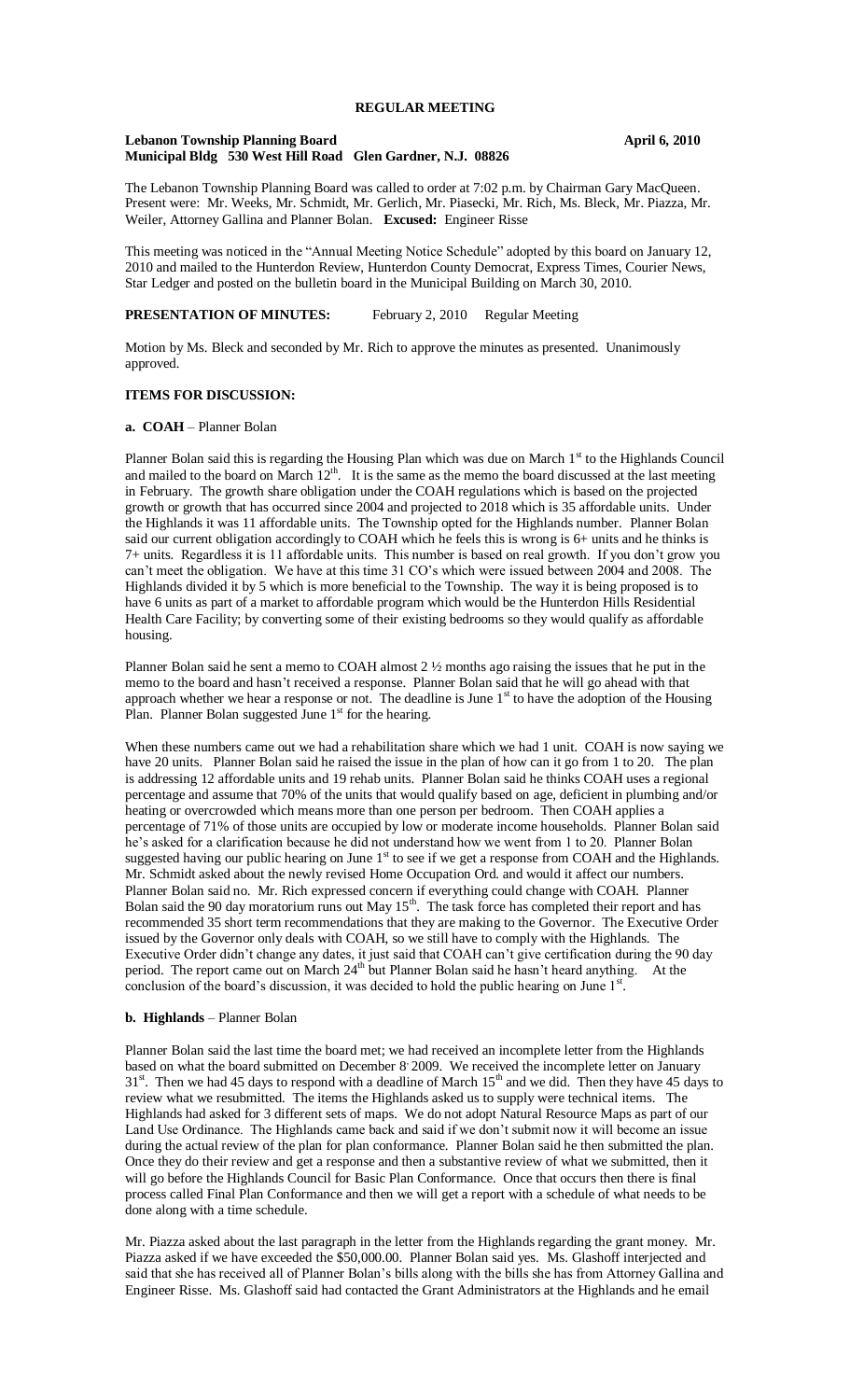# **REGULAR MEETING**

#### **Lebanon Township Planning Board April 6, 2010 Municipal Bldg 530 West Hill Road Glen Gardner, N.J. 08826**

The Lebanon Township Planning Board was called to order at 7:02 p.m. by Chairman Gary MacQueen. Present were: Mr. Weeks, Mr. Schmidt, Mr. Gerlich, Mr. Piasecki, Mr. Rich, Ms. Bleck, Mr. Piazza, Mr. Weiler, Attorney Gallina and Planner Bolan. **Excused:** Engineer Risse

This meeting was noticed in the "Annual Meeting Notice Schedule" adopted by this board on January 12, 2010 and mailed to the Hunterdon Review, Hunterdon County Democrat, Express Times, Courier News, Star Ledger and posted on the bulletin board in the Municipal Building on March 30, 2010.

# **PRESENTATION OF MINUTES:** February 2, 2010 Regular Meeting

Motion by Ms. Bleck and seconded by Mr. Rich to approve the minutes as presented. Unanimously approved.

### **ITEMS FOR DISCUSSION:**

#### **a. COAH** – Planner Bolan

Planner Bolan said this is regarding the Housing Plan which was due on March 1st to the Highlands Council and mailed to the board on March  $12<sup>th</sup>$ . It is the same as the memo the board discussed at the last meeting in February. The growth share obligation under the COAH regulations which is based on the projected growth or growth that has occurred since 2004 and projected to 2018 which is 35 affordable units. Under the Highlands it was 11 affordable units. The Township opted for the Highlands number. Planner Bolan said our current obligation accordingly to COAH which he feels this is wrong is 6+ units and he thinks is 7+ units. Regardless it is 11 affordable units. This number is based on real growth. If you don't grow you can't meet the obligation. We have at this time 31 CO's which were issued between 2004 and 2008. The Highlands divided it by 5 which is more beneficial to the Township. The way it is being proposed is to have 6 units as part of a market to affordable program which would be the Hunterdon Hills Residential Health Care Facility; by converting some of their existing bedrooms so they would qualify as affordable housing.

Planner Bolan said he sent a memo to COAH almost 2 ½ months ago raising the issues that he put in the memo to the board and hasn't received a response. Planner Bolan said that he will go ahead with that approach whether we hear a response or not. The deadline is June  $1<sup>st</sup>$  to have the adoption of the Housing Plan. Planner Bolan suggested June  $1<sup>st</sup>$  for the hearing.

When these numbers came out we had a rehabilitation share which we had 1 unit. COAH is now saying we have 20 units. Planner Bolan said he raised the issue in the plan of how can it go from 1 to 20. The plan is addressing 12 affordable units and 19 rehab units. Planner Bolan said he thinks COAH uses a regional percentage and assume that 70% of the units that would qualify based on age, deficient in plumbing and/or heating or overcrowded which means more than one person per bedroom. Then COAH applies a percentage of 71% of those units are occupied by low or moderate income households. Planner Bolan said he's asked for a clarification because he did not understand how we went from 1 to 20. Planner Bolan suggested having our public hearing on June  $1<sup>st</sup>$  to see if we get a response from COAH and the Highlands. Mr. Schmidt asked about the newly revised Home Occupation Ord. and would it affect our numbers. Planner Bolan said no. Mr. Rich expressed concern if everything could change with COAH. Planner Bolan said the 90 day moratorium runs out May  $15<sup>th</sup>$ . The task force has completed their report and has recommended 35 short term recommendations that they are making to the Governor. The Executive Order issued by the Governor only deals with COAH, so we still have to comply with the Highlands. The Executive Order didn't change any dates, it just said that COAH can't give certification during the 90 day period. The report came out on March 24<sup>th</sup> but Planner Bolan said he hasn't heard anything. At the conclusion of the board's discussion, it was decided to hold the public hearing on June  $1<sup>st</sup>$ .

#### **b. Highlands** – Planner Bolan

Planner Bolan said the last time the board met; we had received an incomplete letter from the Highlands based on what the board submitted on December 8 2009. We received the incomplete letter on January  $31<sup>st</sup>$ . Then we had 45 days to respond with a deadline of March  $15<sup>th</sup>$  and we did. Then they have 45 days to review what we resubmitted. The items the Highlands asked us to supply were technical items. The Highlands had asked for 3 different sets of maps. We do not adopt Natural Resource Maps as part of our Land Use Ordinance. The Highlands came back and said if we don't submit now it will become an issue during the actual review of the plan for plan conformance. Planner Bolan said he then submitted the plan. Once they do their review and get a response and then a substantive review of what we submitted, then it will go before the Highlands Council for Basic Plan Conformance. Once that occurs then there is final process called Final Plan Conformance and then we will get a report with a schedule of what needs to be done along with a time schedule.

Mr. Piazza asked about the last paragraph in the letter from the Highlands regarding the grant money. Mr. Piazza asked if we have exceeded the \$50,000.00. Planner Bolan said yes. Ms. Glashoff interjected and said that she has received all of Planner Bolan's bills along with the bills she has from Attorney Gallina and Engineer Risse. Ms. Glashoff said had contacted the Grant Administrators at the Highlands and he email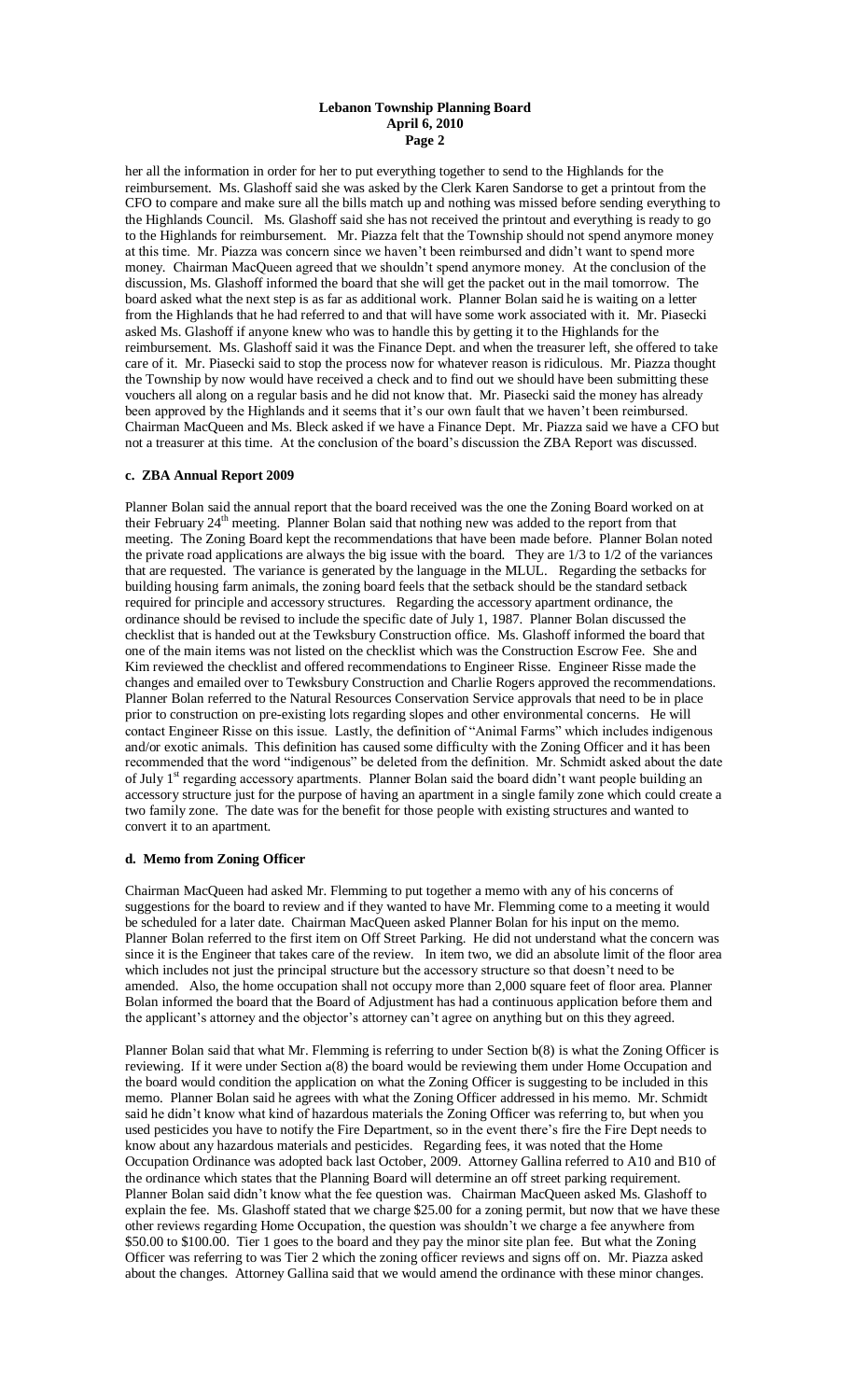#### **Lebanon Township Planning Board April 6, 2010 Page 2**

her all the information in order for her to put everything together to send to the Highlands for the reimbursement. Ms. Glashoff said she was asked by the Clerk Karen Sandorse to get a printout from the CFO to compare and make sure all the bills match up and nothing was missed before sending everything to the Highlands Council. Ms. Glashoff said she has not received the printout and everything is ready to go to the Highlands for reimbursement. Mr. Piazza felt that the Township should not spend anymore money at this time. Mr. Piazza was concern since we haven't been reimbursed and didn't want to spend more money. Chairman MacQueen agreed that we shouldn't spend anymore money. At the conclusion of the discussion, Ms. Glashoff informed the board that she will get the packet out in the mail tomorrow. The board asked what the next step is as far as additional work. Planner Bolan said he is waiting on a letter from the Highlands that he had referred to and that will have some work associated with it. Mr. Piasecki asked Ms. Glashoff if anyone knew who was to handle this by getting it to the Highlands for the reimbursement. Ms. Glashoff said it was the Finance Dept. and when the treasurer left, she offered to take care of it. Mr. Piasecki said to stop the process now for whatever reason is ridiculous. Mr. Piazza thought the Township by now would have received a check and to find out we should have been submitting these vouchers all along on a regular basis and he did not know that. Mr. Piasecki said the money has already been approved by the Highlands and it seems that it's our own fault that we haven't been reimbursed. Chairman MacQueen and Ms. Bleck asked if we have a Finance Dept. Mr. Piazza said we have a CFO but not a treasurer at this time. At the conclusion of the board's discussion the ZBA Report was discussed.

## **c. ZBA Annual Report 2009**

Planner Bolan said the annual report that the board received was the one the Zoning Board worked on at their February  $24<sup>th</sup>$  meeting. Planner Bolan said that nothing new was added to the report from that meeting. The Zoning Board kept the recommendations that have been made before. Planner Bolan noted the private road applications are always the big issue with the board. They are  $1/3$  to  $1/2$  of the variances that are requested. The variance is generated by the language in the MLUL. Regarding the setbacks for building housing farm animals, the zoning board feels that the setback should be the standard setback required for principle and accessory structures. Regarding the accessory apartment ordinance, the ordinance should be revised to include the specific date of July 1, 1987. Planner Bolan discussed the checklist that is handed out at the Tewksbury Construction office. Ms. Glashoff informed the board that one of the main items was not listed on the checklist which was the Construction Escrow Fee. She and Kim reviewed the checklist and offered recommendations to Engineer Risse. Engineer Risse made the changes and emailed over to Tewksbury Construction and Charlie Rogers approved the recommendations. Planner Bolan referred to the Natural Resources Conservation Service approvals that need to be in place prior to construction on pre-existing lots regarding slopes and other environmental concerns. He will contact Engineer Risse on this issue. Lastly, the definition of "Animal Farms" which includes indigenous and/or exotic animals. This definition has caused some difficulty with the Zoning Officer and it has been recommended that the word "indigenous" be deleted from the definition. Mr. Schmidt asked about the date of July 1<sup>st</sup> regarding accessory apartments. Planner Bolan said the board didn't want people building an accessory structure just for the purpose of having an apartment in a single family zone which could create a two family zone. The date was for the benefit for those people with existing structures and wanted to convert it to an apartment.

#### **d. Memo from Zoning Officer**

Chairman MacQueen had asked Mr. Flemming to put together a memo with any of his concerns of suggestions for the board to review and if they wanted to have Mr. Flemming come to a meeting it would be scheduled for a later date. Chairman MacQueen asked Planner Bolan for his input on the memo. Planner Bolan referred to the first item on Off Street Parking. He did not understand what the concern was since it is the Engineer that takes care of the review. In item two, we did an absolute limit of the floor area which includes not just the principal structure but the accessory structure so that doesn't need to be amended. Also, the home occupation shall not occupy more than 2,000 square feet of floor area. Planner Bolan informed the board that the Board of Adjustment has had a continuous application before them and the applicant's attorney and the objector's attorney can't agree on anything but on this they agreed.

Planner Bolan said that what Mr. Flemming is referring to under Section b(8) is what the Zoning Officer is reviewing. If it were under Section a(8) the board would be reviewing them under Home Occupation and the board would condition the application on what the Zoning Officer is suggesting to be included in this memo. Planner Bolan said he agrees with what the Zoning Officer addressed in his memo. Mr. Schmidt said he didn't know what kind of hazardous materials the Zoning Officer was referring to, but when you used pesticides you have to notify the Fire Department, so in the event there's fire the Fire Dept needs to know about any hazardous materials and pesticides. Regarding fees, it was noted that the Home Occupation Ordinance was adopted back last October, 2009. Attorney Gallina referred to A10 and B10 of the ordinance which states that the Planning Board will determine an off street parking requirement. Planner Bolan said didn't know what the fee question was. Chairman MacQueen asked Ms. Glashoff to explain the fee. Ms. Glashoff stated that we charge \$25.00 for a zoning permit, but now that we have these other reviews regarding Home Occupation, the question was shouldn't we charge a fee anywhere from \$50.00 to \$100.00. Tier 1 goes to the board and they pay the minor site plan fee. But what the Zoning Officer was referring to was Tier 2 which the zoning officer reviews and signs off on. Mr. Piazza asked about the changes. Attorney Gallina said that we would amend the ordinance with these minor changes.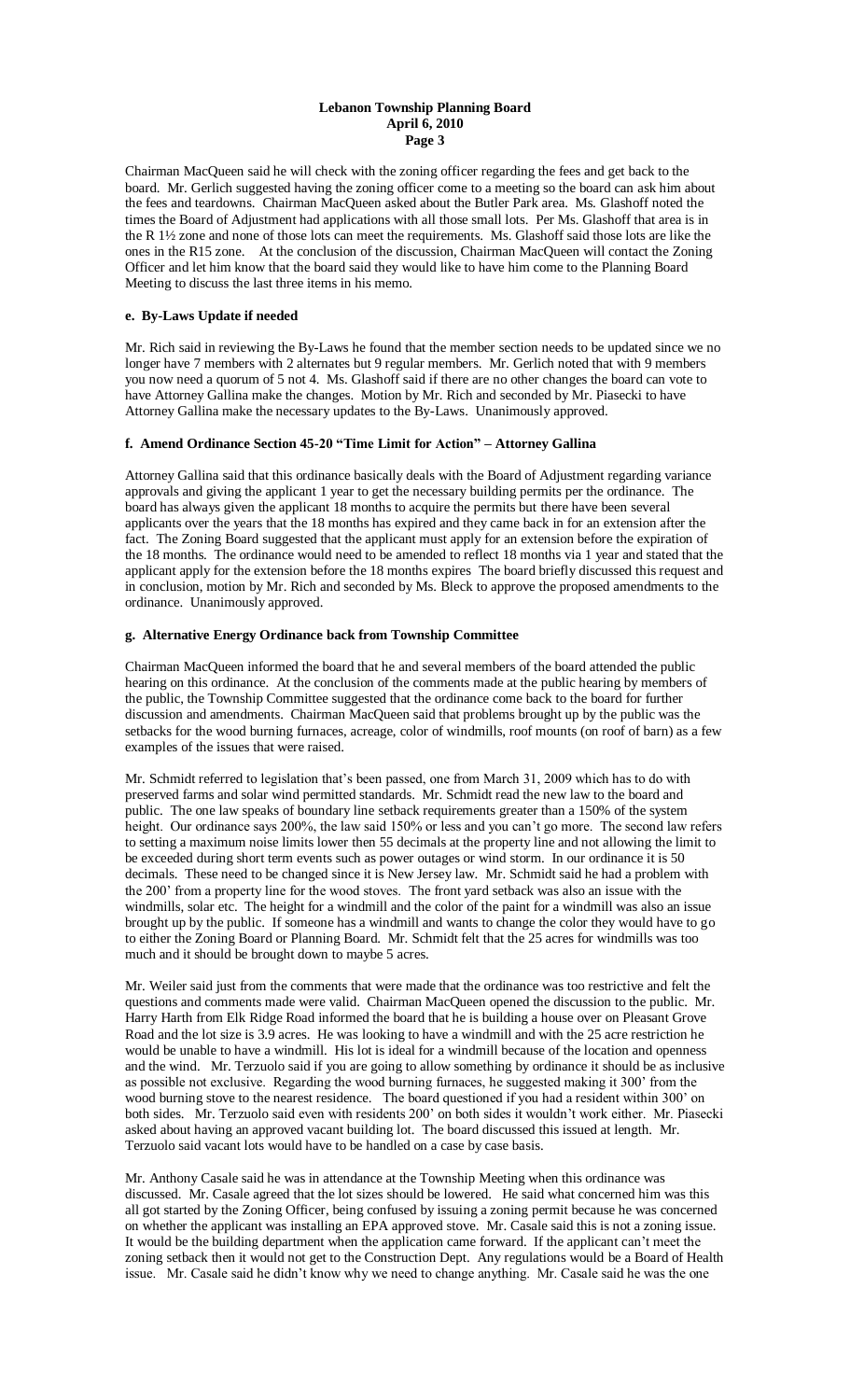### **Lebanon Township Planning Board April 6, 2010 Page 3**

Chairman MacQueen said he will check with the zoning officer regarding the fees and get back to the board. Mr. Gerlich suggested having the zoning officer come to a meeting so the board can ask him about the fees and teardowns. Chairman MacQueen asked about the Butler Park area. Ms. Glashoff noted the times the Board of Adjustment had applications with all those small lots. Per Ms. Glashoff that area is in the R 1½ zone and none of those lots can meet the requirements. Ms. Glashoff said those lots are like the ones in the R15 zone. At the conclusion of the discussion, Chairman MacQueen will contact the Zoning Officer and let him know that the board said they would like to have him come to the Planning Board Meeting to discuss the last three items in his memo.

# **e. By-Laws Update if needed**

Mr. Rich said in reviewing the By-Laws he found that the member section needs to be updated since we no longer have 7 members with 2 alternates but 9 regular members. Mr. Gerlich noted that with 9 members you now need a quorum of 5 not 4. Ms. Glashoff said if there are no other changes the board can vote to have Attorney Gallina make the changes. Motion by Mr. Rich and seconded by Mr. Piasecki to have Attorney Gallina make the necessary updates to the By-Laws. Unanimously approved.

# **f. Amend Ordinance Section 45-20 "Time Limit for Action" – Attorney Gallina**

Attorney Gallina said that this ordinance basically deals with the Board of Adjustment regarding variance approvals and giving the applicant 1 year to get the necessary building permits per the ordinance. The board has always given the applicant 18 months to acquire the permits but there have been several applicants over the years that the 18 months has expired and they came back in for an extension after the fact. The Zoning Board suggested that the applicant must apply for an extension before the expiration of the 18 months. The ordinance would need to be amended to reflect 18 months via 1 year and stated that the applicant apply for the extension before the 18 months expires The board briefly discussed this request and in conclusion, motion by Mr. Rich and seconded by Ms. Bleck to approve the proposed amendments to the ordinance. Unanimously approved.

# **g. Alternative Energy Ordinance back from Township Committee**

Chairman MacQueen informed the board that he and several members of the board attended the public hearing on this ordinance. At the conclusion of the comments made at the public hearing by members of the public, the Township Committee suggested that the ordinance come back to the board for further discussion and amendments. Chairman MacQueen said that problems brought up by the public was the setbacks for the wood burning furnaces, acreage, color of windmills, roof mounts (on roof of barn) as a few examples of the issues that were raised.

Mr. Schmidt referred to legislation that's been passed, one from March 31, 2009 which has to do with preserved farms and solar wind permitted standards. Mr. Schmidt read the new law to the board and public. The one law speaks of boundary line setback requirements greater than a 150% of the system height. Our ordinance says 200%, the law said 150% or less and you can't go more. The second law refers to setting a maximum noise limits lower then 55 decimals at the property line and not allowing the limit to be exceeded during short term events such as power outages or wind storm. In our ordinance it is 50 decimals. These need to be changed since it is New Jersey law. Mr. Schmidt said he had a problem with the 200' from a property line for the wood stoves. The front yard setback was also an issue with the windmills, solar etc. The height for a windmill and the color of the paint for a windmill was also an issue brought up by the public. If someone has a windmill and wants to change the color they would have to go to either the Zoning Board or Planning Board. Mr. Schmidt felt that the 25 acres for windmills was too much and it should be brought down to maybe 5 acres.

Mr. Weiler said just from the comments that were made that the ordinance was too restrictive and felt the questions and comments made were valid. Chairman MacQueen opened the discussion to the public. Mr. Harry Harth from Elk Ridge Road informed the board that he is building a house over on Pleasant Grove Road and the lot size is 3.9 acres. He was looking to have a windmill and with the 25 acre restriction he would be unable to have a windmill. His lot is ideal for a windmill because of the location and openness and the wind. Mr. Terzuolo said if you are going to allow something by ordinance it should be as inclusive as possible not exclusive. Regarding the wood burning furnaces, he suggested making it 300' from the wood burning stove to the nearest residence. The board questioned if you had a resident within 300' on both sides. Mr. Terzuolo said even with residents 200' on both sides it wouldn't work either. Mr. Piasecki asked about having an approved vacant building lot. The board discussed this issued at length. Mr. Terzuolo said vacant lots would have to be handled on a case by case basis.

Mr. Anthony Casale said he was in attendance at the Township Meeting when this ordinance was discussed. Mr. Casale agreed that the lot sizes should be lowered. He said what concerned him was this all got started by the Zoning Officer, being confused by issuing a zoning permit because he was concerned on whether the applicant was installing an EPA approved stove. Mr. Casale said this is not a zoning issue. It would be the building department when the application came forward. If the applicant can't meet the zoning setback then it would not get to the Construction Dept. Any regulations would be a Board of Health issue. Mr. Casale said he didn't know why we need to change anything. Mr. Casale said he was the one